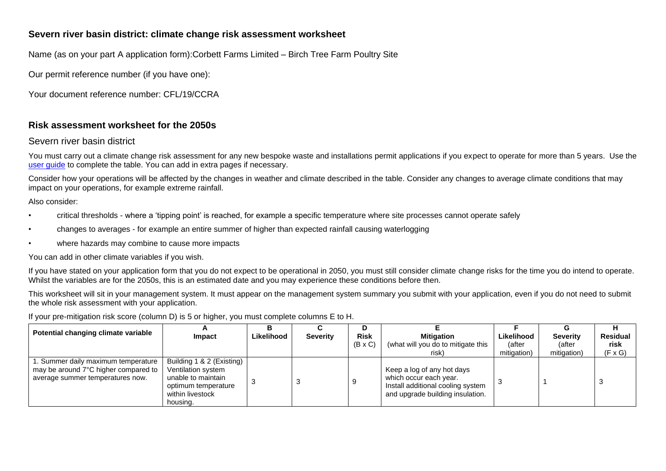## **Severn river basin district: climate change risk assessment worksheet**

Name (as on your part A application form):Corbett Farms Limited – Birch Tree Farm Poultry Site

Our permit reference number (if you have one):

Your document reference number: CFL/19/CCRA

## **Risk assessment worksheet for the 2050s**

## Severn river basin district

You must carry out a climate change risk assessment for any new bespoke waste and installations permit applications if you expect to operate for more than 5 years. Use the [user guide](https://www.gov.uk/guidance/adapting-to-climate-change-risk-assessment-for-your-environmental-permit) to complete the table. You can add in extra pages if necessary.

Consider how your operations will be affected by the changes in weather and climate described in the table. Consider any changes to average climate conditions that may impact on your operations, for example extreme rainfall.

Also consider:

- critical thresholds where a 'tipping point' is reached, for example a specific temperature where site processes cannot operate safely
- changes to averages for example an entire summer of higher than expected rainfall causing waterlogging
- where hazards may combine to cause more impacts

You can add in other climate variables if you wish.

If you have stated on your application form that you do not expect to be operational in 2050, you must still consider climate change risks for the time you do intend to operate. Whilst the variables are for the 2050s, this is an estimated date and you may experience these conditions before then.

This worksheet will sit in your management system. It must appear on the management system summary you submit with your application, even if you do not need to submit the whole risk assessment with your application.

If your pre-mitigation risk score (column D) is 5 or higher, you must complete columns E to H.

| Potential changing climate variable                                                                             |                                                                                                                              |            |                 |                |                                                                                                                               |             |                 |                 |
|-----------------------------------------------------------------------------------------------------------------|------------------------------------------------------------------------------------------------------------------------------|------------|-----------------|----------------|-------------------------------------------------------------------------------------------------------------------------------|-------------|-----------------|-----------------|
|                                                                                                                 | Impact                                                                                                                       | Likelihood | <b>Severity</b> | <b>Risk</b>    | <b>Mitigation</b>                                                                                                             | Likelihood  | <b>Severity</b> | <b>Residual</b> |
|                                                                                                                 |                                                                                                                              |            |                 | $(B \times C)$ | (what will you do to mitigate this                                                                                            | (after      | (after          | risk            |
|                                                                                                                 |                                                                                                                              |            |                 |                | risk)                                                                                                                         | mitigation) | mitigation)     | $(F \times G)$  |
| 1. Summer daily maximum temperature<br>may be around 7°C higher compared to<br>average summer temperatures now. | Building 1 & 2 (Existing)<br>Ventilation system<br>unable to maintain<br>optimum temperature<br>within livestock<br>housing. |            |                 |                | Keep a log of any hot days<br>which occur each year.<br>Install additional cooling system<br>and upgrade building insulation. |             |                 |                 |